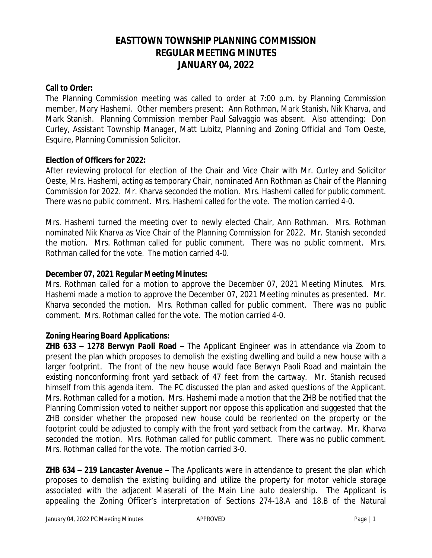# **EASTTOWN TOWNSHIP PLANNING COMMISSION REGULAR MEETING MINUTES JANUARY 04, 2022**

#### **Call to Order:**

The Planning Commission meeting was called to order at 7:00 p.m. by Planning Commission member, Mary Hashemi. Other members present: Ann Rothman, Mark Stanish, Nik Kharva, and Mark Stanish. Planning Commission member Paul Salvaggio was absent. Also attending: Don Curley, Assistant Township Manager, Matt Lubitz, Planning and Zoning Official and Tom Oeste, Esquire, Planning Commission Solicitor.

### **Election of Officers for 2022:**

After reviewing protocol for election of the Chair and Vice Chair with Mr. Curley and Solicitor Oeste, Mrs. Hashemi, acting as temporary Chair, nominated Ann Rothman as Chair of the Planning Commission for 2022. Mr. Kharva seconded the motion. Mrs. Hashemi called for public comment. There was no public comment. Mrs. Hashemi called for the vote. The motion carried 4-0.

Mrs. Hashemi turned the meeting over to newly elected Chair, Ann Rothman. Mrs. Rothman nominated Nik Kharva as Vice Chair of the Planning Commission for 2022. Mr. Stanish seconded the motion. Mrs. Rothman called for public comment. There was no public comment. Mrs. Rothman called for the vote. The motion carried 4-0.

#### **December 07, 2021 Regular Meeting Minutes:**

Mrs. Rothman called for a motion to approve the December 07, 2021 Meeting Minutes. Mrs. Hashemi made a motion to approve the December 07, 2021 Meeting minutes as presented. Mr. Kharva seconded the motion. Mrs. Rothman called for public comment. There was no public comment. Mrs. Rothman called for the vote. The motion carried 4-0.

### **Zoning Hearing Board Applications:**

**ZHB 633 – 1278 Berwyn Paoli Road –** The Applicant Engineer was in attendance via Zoom to present the plan which proposes to demolish the existing dwelling and build a new house with a larger footprint. The front of the new house would face Berwyn Paoli Road and maintain the existing nonconforming front yard setback of 47 feet from the cartway. Mr. Stanish recused himself from this agenda item. The PC discussed the plan and asked questions of the Applicant. Mrs. Rothman called for a motion. Mrs. Hashemi made a motion that the ZHB be notified that the Planning Commission voted to neither support nor oppose this application and suggested that the ZHB consider whether the proposed new house could be reoriented on the property or the footprint could be adjusted to comply with the front yard setback from the cartway. Mr. Kharva seconded the motion. Mrs. Rothman called for public comment. There was no public comment. Mrs. Rothman called for the vote. The motion carried 3-0.

**ZHB 634 – 219 Lancaster Avenue –** The Applicants were in attendance to present the plan which proposes to demolish the existing building and utilize the property for motor vehicle storage associated with the adjacent Maserati of the Main Line auto dealership. The Applicant is appealing the Zoning Officer's interpretation of Sections 274-18.A and 18.B of the Natural